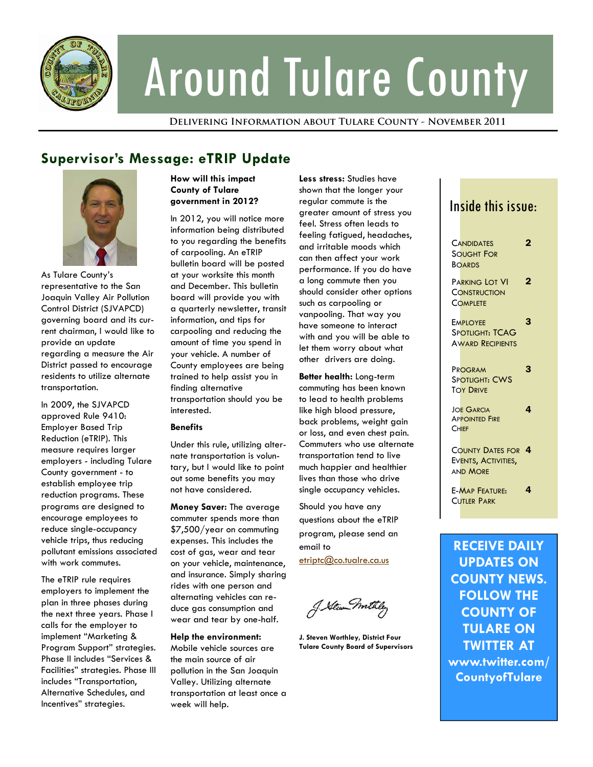

# Around Tulare County

**Delivering Information about Tulare County - November 2011** 

# **Supervisor's Message: eTRIP Update**



As Tulare County's representative to the San Joaquin Valley Air Pollution Control District (SJVAPCD) governing board and its current chairman, I would like to provide an update regarding a measure the Air District passed to encourage residents to utilize alternate transportation.

In 2009, the SJVAPCD approved Rule 9410: Employer Based Trip Reduction (eTRIP). This measure requires larger employers - including Tulare County government - to establish employee trip reduction programs. These programs are designed to encourage employees to reduce single-occupancy vehicle trips, thus reducing pollutant emissions associated with work commutes.

The eTRIP rule requires employers to implement the plan in three phases during the next three years. Phase I calls for the employer to implement "Marketing & Program Support" strategies. Phase II includes "Services & Facilities" strategies. Phase III includes "Transportation, Alternative Schedules, and Incentives" strategies.

## **How will this impact County of Tulare government in 2012?**

In 2012, you will notice more information being distributed to you regarding the benefits of carpooling. An eTRIP bulletin board will be posted at your worksite this month and December. This bulletin board will provide you with a quarterly newsletter, transit information, and tips for carpooling and reducing the amount of time you spend in your vehicle. A number of County employees are being trained to help assist you in finding alternative transportation should you be interested.

## **Benefits**

Under this rule, utilizing alternate transportation is voluntary, but I would like to point out some benefits you may not have considered.

**Money Saver:** The average commuter spends more than \$7,500/year on commuting expenses. This includes the cost of gas, wear and tear on your vehicle, maintenance, and insurance. Simply sharing rides with one person and alternating vehicles can reduce gas consumption and wear and tear by one-half.

**Help the environment:** 

Mobile vehicle sources are the main source of air pollution in the San Joaquin Valley. Utilizing alternate transportation at least once a week will help.

**Less stress:** Studies have shown that the longer your regular commute is the greater amount of stress you feel. Stress often leads to feeling fatigued, headaches, and irritable moods which can then affect your work performance. If you do have a long commute then you should consider other options such as carpooling or vanpooling. That way you have someone to interact with and you will be able to let them worry about what other drivers are doing.

**Better health:** Long-term commuting has been known to lead to health problems like high blood pressure, back problems, weight gain or loss, and even chest pain. Commuters who use alternate transportation tend to live much happier and healthier lives than those who drive single occupancy vehicles.

Should you have any questions about the eTRIP program, please send an email to

etriptc@co.tualre.ca.us

J. Stewn mil

**J. Steven Worthley, District Four Tulare County Board of Supervisors** 

## Inside this issue:

| <b>CANDIDATES</b><br><b>SOUGHT FOR</b><br><b>BOARDS</b>             | 2 |
|---------------------------------------------------------------------|---|
| PARKING LOT VI<br>CONSTRUCTION<br><b>COMPLETE</b>                   | 2 |
| EMPLOYEE<br>SPOTLIGHT: TCAG<br><b>AWARD RECIPIENTS</b>              | 3 |
| PROGRAM<br><b>SPOTLIGHT: CWS</b><br><b>TOY DRIVE</b>                | 3 |
| <b>JOE GARCIA</b><br><b>APPOINTED FIRE</b><br><b>CHIEF</b>          | 4 |
| <b>COUNTY DATES FOR 4</b><br>EVENTS, ACTIVITIES,<br><b>AND MORE</b> |   |
| <b>E-MAP FEATURE:</b><br>CUTIFR PARK                                | 4 |

**RECEIVE DAILY UPDATES ON COUNTY NEWS. FOLLOW THE COUNTY OF TULARE ON TWITTER AT www.twitter.com/ CountyofTulare**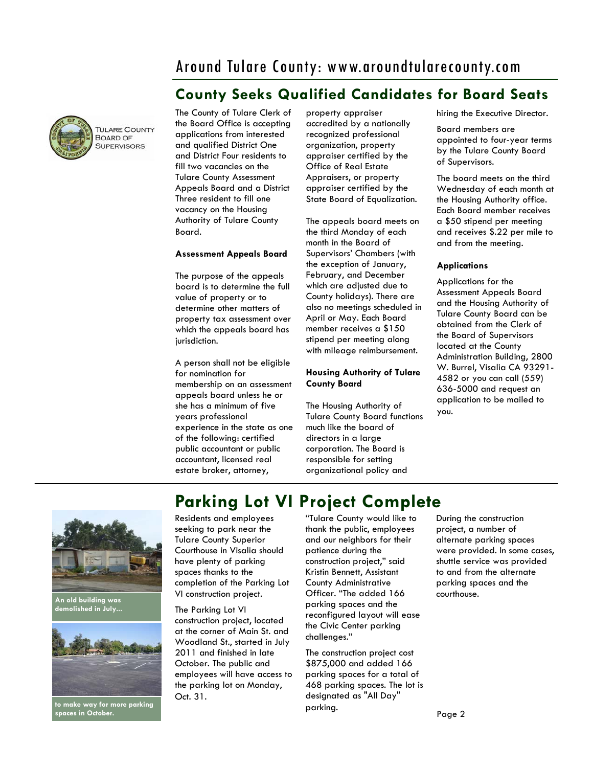# Around Tulare County: www.aroundtularecounty.com

# **County Seeks Qualified Candidates for Board Seats**



The County of Tulare Clerk of the Board Office is accepting applications from interested and qualified District One and District Four residents to fill two vacancies on the Tulare County Assessment Appeals Board and a District Three resident to fill one vacancy on the Housing Authority of Tulare County Board.

#### **Assessment Appeals Board**

The purpose of the appeals board is to determine the full value of property or to determine other matters of property tax assessment over which the appeals board has jurisdiction.

A person shall not be eligible for nomination for membership on an assessment appeals board unless he or she has a minimum of five years professional experience in the state as one of the following: certified public accountant or public accountant, licensed real estate broker, attorney,

property appraiser accredited by a nationally recognized professional organization, property appraiser certified by the Office of Real Estate Appraisers, or property appraiser certified by the State Board of Equalization.

The appeals board meets on the third Monday of each month in the Board of Supervisors' Chambers (with the exception of January, February, and December which are adjusted due to County holidays). There are also no meetings scheduled in April or May. Each Board member receives a \$150 stipend per meeting along with mileage reimbursement.

## **Housing Authority of Tulare County Board**

The Housing Authority of Tulare County Board functions much like the board of directors in a large corporation. The Board is responsible for setting organizational policy and

hiring the Executive Director.

Board members are appointed to four-year terms by the Tulare County Board of Supervisors.

The board meets on the third Wednesday of each month at the Housing Authority office. Each Board member receives a \$50 stipend per meeting and receives \$.22 per mile to and from the meeting.

#### **Applications**

Applications for the Assessment Appeals Board and the Housing Authority of Tulare County Board can be obtained from the Clerk of the Board of Supervisors located at the County Administration Building, 2800 W. Burrel, Visalia CA 93291- 4582 or you can call (559) 636-5000 and request an application to be mailed to you.



**An old building was demolished in July...** 



**to make way for more parking spaces in October.** 

Residents and employees seeking to park near the Tulare County Superior Courthouse in Visalia should have plenty of parking spaces thanks to the completion of the Parking Lot VI construction project. **Parking Lot VI Project Complete** 

The Parking Lot VI construction project, located at the corner of Main St. and Woodland St., started in July 2011 and finished in late October. The public and employees will have access to the parking lot on Monday, Oct. 31.

"Tulare County would like to thank the public, employees and our neighbors for their patience during the construction project," said Kristin Bennett, Assistant County Administrative Officer. "The added 166 parking spaces and the reconfigured layout will ease the Civic Center parking challenges."

The construction project cost \$875,000 and added 166 parking spaces for a total of 468 parking spaces. The lot is designated as "All Day" parking.

During the construction project, a number of alternate parking spaces were provided. In some cases, shuttle service was provided to and from the alternate parking spaces and the courthouse.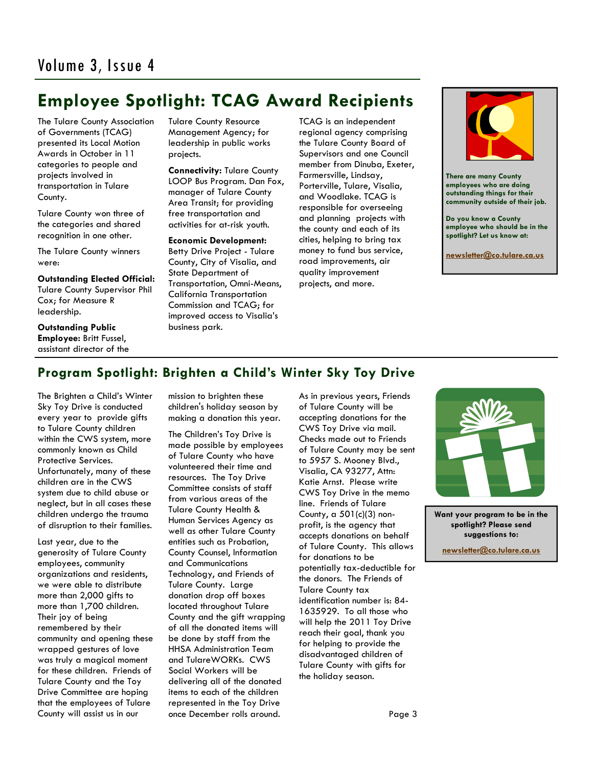# **Employee Spotlight: TCAG Award Recipients**

The Tulare County Association of Governments (TCAG) presented its Local Motion Awards in October in 11 categories to people and projects involved in transportation in Tulare County.

Tulare County won three of the categories and shared recognition in one other.

The Tulare County winners were:

**Outstanding Elected Official:** 

Tulare County Supervisor Phil Cox; for Measure R leadership.

**Outstanding Public Employee:** Britt Fussel, assistant director of the Tulare County Resource Management Agency; for leadership in public works projects.

**Connectivity:** Tulare County LOOP Bus Program. Dan Fox, manager of Tulare County Area Transit; for providing free transportation and activities for at-risk youth.

**Economic Development:**  Betty Drive Project - Tulare County, City of Visalia, and State Department of Transportation, Omni-Means, California Transportation Commission and TCAG; for improved access to Visalia's business park.

TCAG is an independent regional agency comprising the Tulare County Board of Supervisors and one Council member from Dinuba, Exeter, Farmersville, Lindsay, Porterville, Tulare, Visalia, and Woodlake. TCAG is responsible for overseeing and planning projects with the county and each of its cities, helping to bring tax money to fund bus service, road improvements, air quality improvement projects, and more.



**There are many County employees who are doing outstanding things for their community outside of their job.** 

**Do you know a County employee who should be in the spotlight? Let us know at:** 

**[newsletter@co.tulare.ca.us](mailto:newsletter@co.tulare.ca.us?subject=Employee%20spotlight)**

## **Program Spotlight: Brighten a Child's Winter Sky Toy Drive**

The Brighten a Child's Winter Sky Toy Drive is conducted every year to provide gifts to Tulare County children within the CWS system, more commonly known as Child Protective Services. Unfortunately, many of these children are in the CWS system due to child abuse or neglect, but in all cases these children undergo the trauma of disruption to their families.

Last year, due to the generosity of Tulare County employees, community organizations and residents, we were able to distribute more than 2,000 gifts to more than 1,700 children. Their joy of being remembered by their community and opening these wrapped gestures of love was truly a magical moment for these children. Friends of Tulare County and the Toy Drive Committee are hoping that the employees of Tulare County will assist us in our

mission to brighten these children's holiday season by making a donation this year.

The Children's Toy Drive is made possible by employees of Tulare County who have volunteered their time and resources. The Toy Drive Committee consists of staff from various areas of the Tulare County Health & Human Services Agency as well as other Tulare County entities such as Probation, County Counsel, Information and Communications Technology, and Friends of Tulare County. Large donation drop off boxes located throughout Tulare County and the gift wrapping of all the donated items will be done by staff from the HHSA Administration Team and TulareWORKs. CWS Social Workers will be delivering all of the donated items to each of the children represented in the Toy Drive once December rolls around.

As in previous years, Friends of Tulare County will be accepting donations for the CWS Toy Drive via mail. Checks made out to Friends of Tulare County may be sent to 5957 S. Mooney Blvd., Visalia, CA 93277, Attn: Katie Arnst. Please write CWS Toy Drive in the memo line. Friends of Tulare County, a 501(c)(3) nonprofit, is the agency that accepts donations on behalf of Tulare County. This allows for donations to be potentially tax-deductible for the donors. The Friends of Tulare County tax identification number is: 84- 1635929. To all those who will help the 2011 Toy Drive reach their goal, thank you for helping to provide the disadvantaged children of Tulare County with gifts for the holiday season.



**Want your program to be in the spotlight? Please send suggestions to:** 

**[newsletter@co.tulare.ca.us](mailto:newsletter@co.tulare.ca.us?subject=Program%20spotlight)**